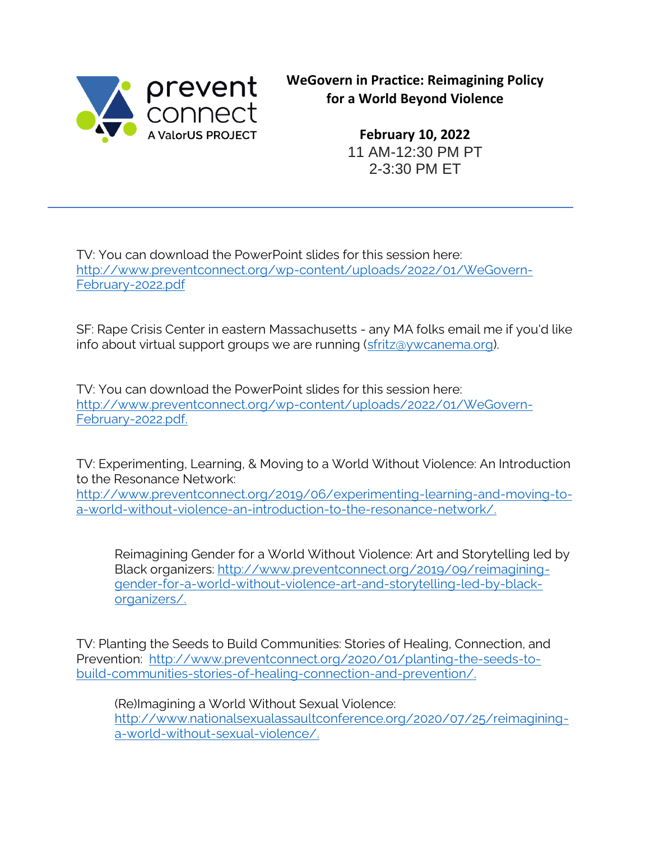

**WeGovern in Practice: Reimagining Policy for a World Beyond Violence**

> **February 10, 2022** 11 AM-12:30 PM PT 2-3:30 PM ET

TV: You can download the PowerPoint slides for this session here: [http://www.preventconnect.org/wp-content/uploads/2022/01/WeGovern-](http://www.preventconnect.org/wp-content/uploads/2022/01/WeGovern-February-2022.pdf)[February-2022.pdf](http://www.preventconnect.org/wp-content/uploads/2022/01/WeGovern-February-2022.pdf)

SF: Rape Crisis Center in eastern Massachusetts - any MA folks email me if you'd like info about virtual support groups we are running [\(sfritz@ywcanema.org\)](mailto:sfritz@ywcanema.org).

TV: You can download the PowerPoint slides for this session here: [http://www.preventconnect.org/wp-content/uploads/2022/01/WeGovern-](http://www.preventconnect.org/wp-content/uploads/2022/01/WeGovern-February-2022.pdf)[February-2022.pdf.](http://www.preventconnect.org/wp-content/uploads/2022/01/WeGovern-February-2022.pdf)

TV: Experimenting, Learning, & Moving to a World Without Violence: An Introduction to the Resonance Network:

[http://www.preventconnect.org/2019/06/experimenting-learning-and-moving-to](http://www.preventconnect.org/2019/06/experimenting-learning-and-moving-to-a-world-without-violence-an-introduction-to-the-resonance-network/)[a-world-without-violence-an-introduction-to-the-resonance-network/.](http://www.preventconnect.org/2019/06/experimenting-learning-and-moving-to-a-world-without-violence-an-introduction-to-the-resonance-network/)

Reimagining Gender for a World Without Violence: Art and Storytelling led by Black organizers: [http://www.preventconnect.org/2019/09/reimagining](http://www.preventconnect.org/2019/09/reimagining-gender-for-a-world-without-violence-art-and-storytelling-led-by-black-organizers/)[gender-for-a-world-without-violence-art-and-storytelling-led-by-black](http://www.preventconnect.org/2019/09/reimagining-gender-for-a-world-without-violence-art-and-storytelling-led-by-black-organizers/)[organizers/.](http://www.preventconnect.org/2019/09/reimagining-gender-for-a-world-without-violence-art-and-storytelling-led-by-black-organizers/)

TV: Planting the Seeds to Build Communities: Stories of Healing, Connection, and Prevention: [http://www.preventconnect.org/2020/01/planting-the-seeds-to](http://www.preventconnect.org/2020/01/planting-the-seeds-to-build-communities-stories-of-healing-connection-and-prevention/)[build-communities-stories-of-healing-connection-and-prevention/.](http://www.preventconnect.org/2020/01/planting-the-seeds-to-build-communities-stories-of-healing-connection-and-prevention/)

(Re)Imagining a World Without Sexual Violence: [http://www.nationalsexualassaultconference.org/2020/07/25/reimagining](http://www.nationalsexualassaultconference.org/2020/07/25/reimagining-a-world-without-sexual-violence/)[a-world-without-sexual-violence/.](http://www.nationalsexualassaultconference.org/2020/07/25/reimagining-a-world-without-sexual-violence/)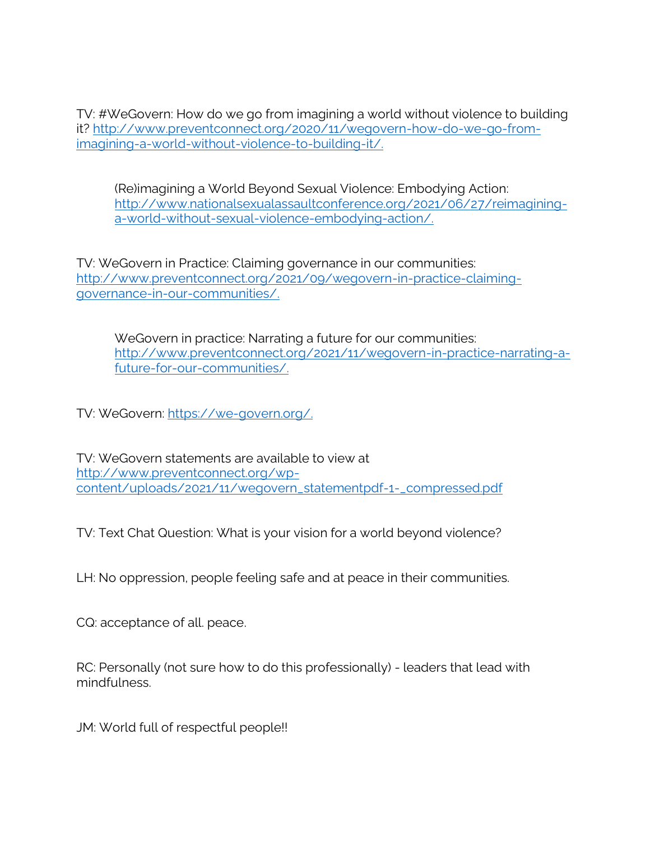TV: #WeGovern: How do we go from imagining a world without violence to building it? [http://www.preventconnect.org/2020/11/wegovern-how-do-we-go-from](http://www.preventconnect.org/2020/11/wegovern-how-do-we-go-from-imagining-a-world-without-violence-to-building-it/)[imagining-a-world-without-violence-to-building-it/.](http://www.preventconnect.org/2020/11/wegovern-how-do-we-go-from-imagining-a-world-without-violence-to-building-it/)

(Re)imagining a World Beyond Sexual Violence: Embodying Action: [http://www.nationalsexualassaultconference.org/2021/06/27/reimagining](http://www.nationalsexualassaultconference.org/2021/06/27/reimagining-a-world-without-sexual-violence-embodying-action/)[a-world-without-sexual-violence-embodying-action/.](http://www.nationalsexualassaultconference.org/2021/06/27/reimagining-a-world-without-sexual-violence-embodying-action/)

TV: WeGovern in Practice: Claiming governance in our communities: [http://www.preventconnect.org/2021/09/wegovern-in-practice-claiming](http://www.preventconnect.org/2021/09/wegovern-in-practice-claiming-governance-in-our-communities/)[governance-in-our-communities/.](http://www.preventconnect.org/2021/09/wegovern-in-practice-claiming-governance-in-our-communities/)

WeGovern in practice: Narrating a future for our communities: [http://www.preventconnect.org/2021/11/wegovern-in-practice-narrating-a](http://www.preventconnect.org/2021/11/wegovern-in-practice-narrating-a-future-for-our-communities/)[future-for-our-communities/.](http://www.preventconnect.org/2021/11/wegovern-in-practice-narrating-a-future-for-our-communities/)

TV: WeGovern: [https://we-govern.org/.](https://we-govern.org/)

TV: WeGovern statements are available to view at [http://www.preventconnect.org/wp](http://www.preventconnect.org/wp-content/uploads/2021/11/wegovern_statementpdf-1-_compressed.pdf)[content/uploads/2021/11/wegovern\\_statementpdf-1-\\_compressed.pdf](http://www.preventconnect.org/wp-content/uploads/2021/11/wegovern_statementpdf-1-_compressed.pdf)

TV: Text Chat Question: What is your vision for a world beyond violence?

LH: No oppression, people feeling safe and at peace in their communities.

CQ: acceptance of all. peace.

RC: Personally (not sure how to do this professionally) - leaders that lead with mindfulness.

JM: World full of respectful people!!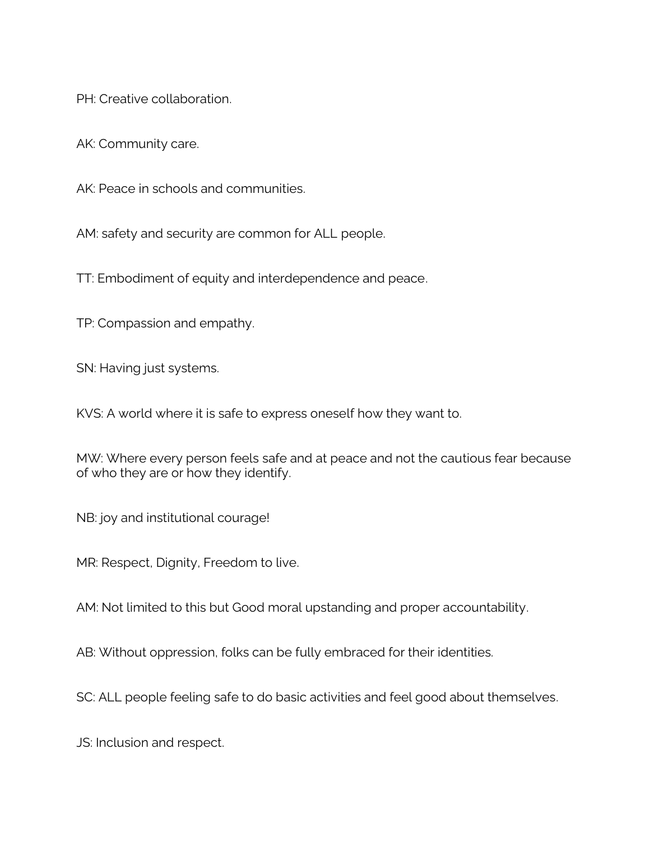PH: Creative collaboration.

AK: Community care.

AK: Peace in schools and communities.

AM: safety and security are common for ALL people.

TT: Embodiment of equity and interdependence and peace.

TP: Compassion and empathy.

SN: Having just systems.

KVS: A world where it is safe to express oneself how they want to.

MW: Where every person feels safe and at peace and not the cautious fear because of who they are or how they identify.

NB: joy and institutional courage!

MR: Respect, Dignity, Freedom to live.

AM: Not limited to this but Good moral upstanding and proper accountability.

AB: Without oppression, folks can be fully embraced for their identities.

SC: ALL people feeling safe to do basic activities and feel good about themselves.

JS: Inclusion and respect.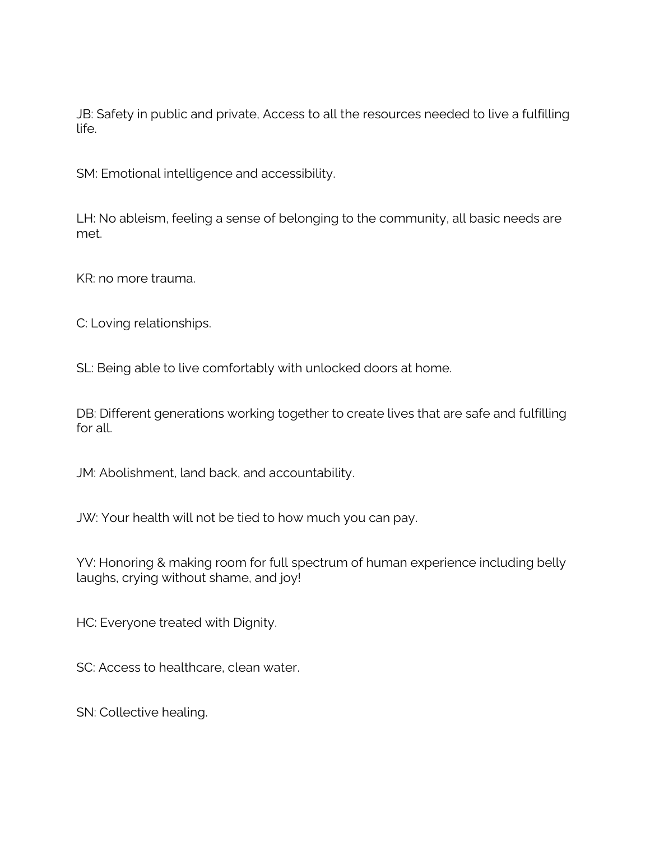JB: Safety in public and private, Access to all the resources needed to live a fulfilling life.

SM: Emotional intelligence and accessibility.

LH: No ableism, feeling a sense of belonging to the community, all basic needs are met.

KR: no more trauma.

C: Loving relationships.

SL: Being able to live comfortably with unlocked doors at home.

DB: Different generations working together to create lives that are safe and fulfilling for all.

JM: Abolishment, land back, and accountability.

JW: Your health will not be tied to how much you can pay.

YV: Honoring & making room for full spectrum of human experience including belly laughs, crying without shame, and joy!

HC: Everyone treated with Dignity.

SC: Access to healthcare, clean water.

SN: Collective healing.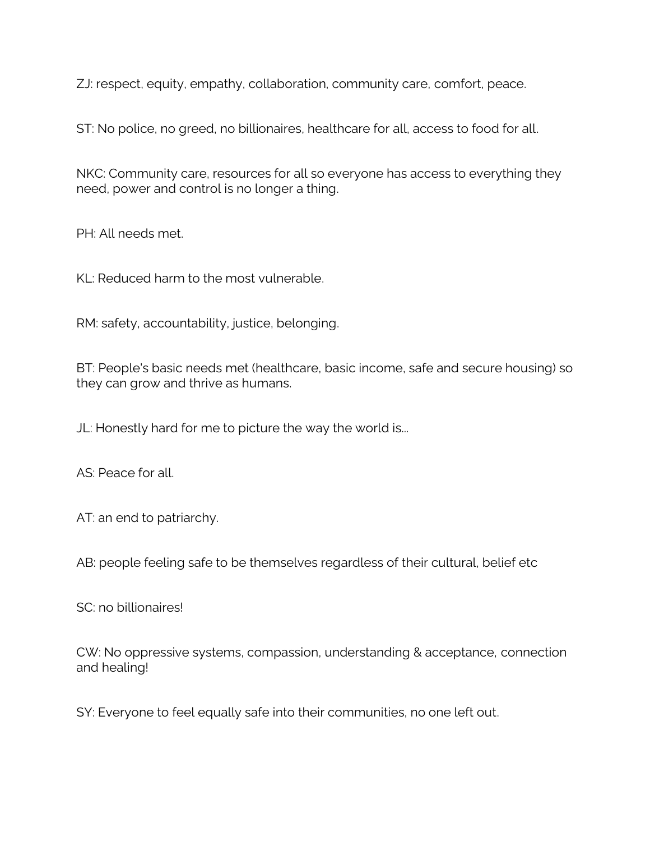ZJ: respect, equity, empathy, collaboration, community care, comfort, peace.

ST: No police, no greed, no billionaires, healthcare for all, access to food for all.

NKC: Community care, resources for all so everyone has access to everything they need, power and control is no longer a thing.

PH: All needs met.

KL: Reduced harm to the most vulnerable.

RM: safety, accountability, justice, belonging.

BT: People's basic needs met (healthcare, basic income, safe and secure housing) so they can grow and thrive as humans.

JL: Honestly hard for me to picture the way the world is...

AS: Peace for all.

AT: an end to patriarchy.

AB: people feeling safe to be themselves regardless of their cultural, belief etc

SC: no billionaires!

CW: No oppressive systems, compassion, understanding & acceptance, connection and healing!

SY: Everyone to feel equally safe into their communities, no one left out.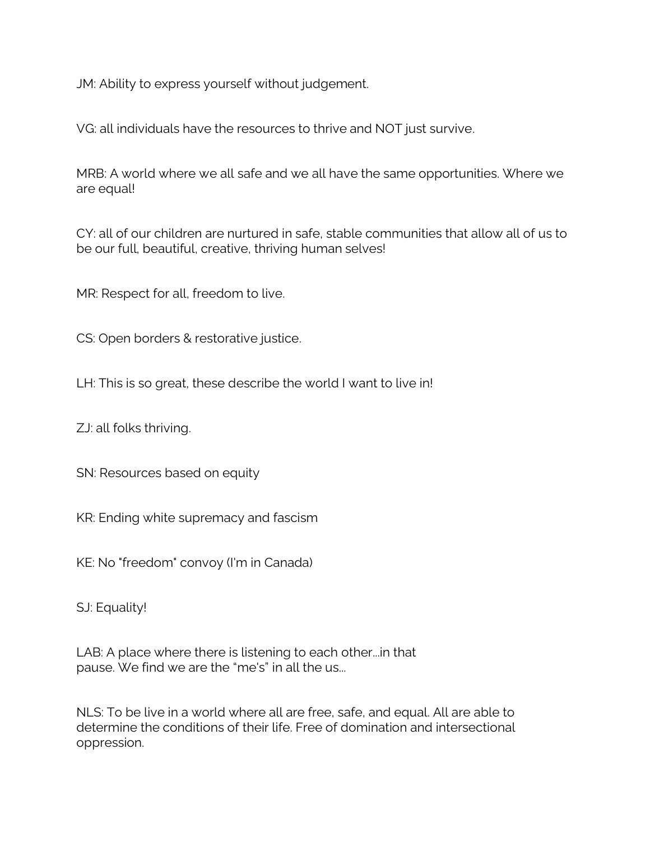JM: Ability to express yourself without judgement.

VG: all individuals have the resources to thrive and NOT just survive.

MRB: A world where we all safe and we all have the same opportunities. Where we are equal!

CY: all of our children are nurtured in safe, stable communities that allow all of us to be our full, beautiful, creative, thriving human selves!

MR: Respect for all, freedom to live.

CS: Open borders & restorative justice.

LH: This is so great, these describe the world I want to live in!

ZJ: all folks thriving.

SN: Resources based on equity

KR: Ending white supremacy and fascism

KE: No "freedom" convoy (I'm in Canada)

SJ: Equality!

LAB: A place where there is listening to each other...in that pause. We find we are the "me's" in all the us...

NLS: To be live in a world where all are free, safe, and equal. All are able to determine the conditions of their life. Free of domination and intersectional oppression.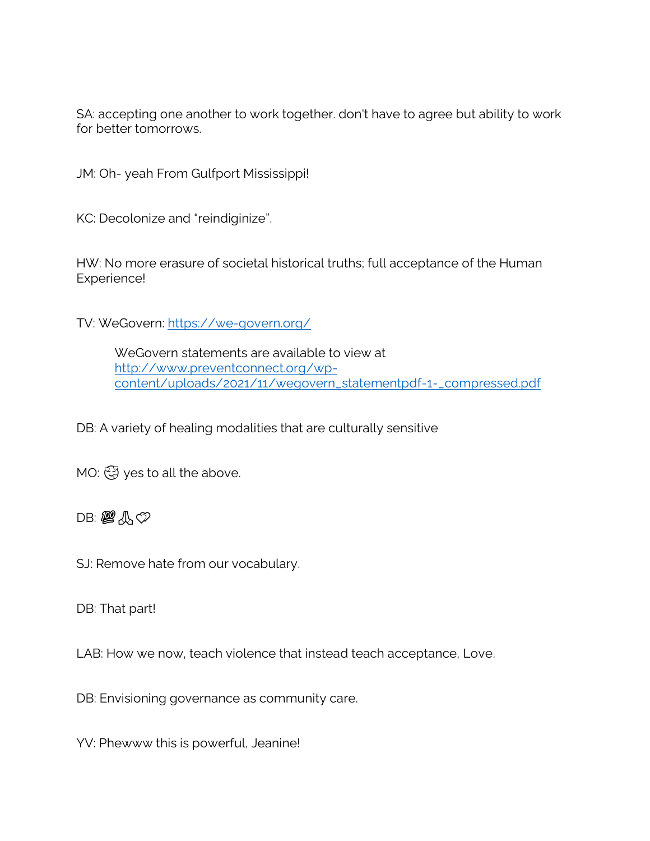SA: accepting one another to work together. don't have to agree but ability to work for better tomorrows.

JM: Oh- yeah From Gulfport Mississippi!

KC: Decolonize and "reindiginize".

HW: No more erasure of societal historical truths; full acceptance of the Human Experience!

TV: WeGovern:<https://we-govern.org/>

WeGovern statements are available to view at [http://www.preventconnect.org/wp](http://www.preventconnect.org/wp-content/uploads/2021/11/wegovern_statementpdf-1-_compressed.pdf)[content/uploads/2021/11/wegovern\\_statementpdf-1-\\_compressed.pdf](http://www.preventconnect.org/wp-content/uploads/2021/11/wegovern_statementpdf-1-_compressed.pdf)

DB: A variety of healing modalities that are culturally sensitive

MO:  $\mathbb{Q}$  yes to all the above.

#### $DB: B \rightarrow \infty$

SJ: Remove hate from our vocabulary.

DB: That part!

LAB: How we now, teach violence that instead teach acceptance, Love.

DB: Envisioning governance as community care.

YV: Phewww this is powerful, Jeanine!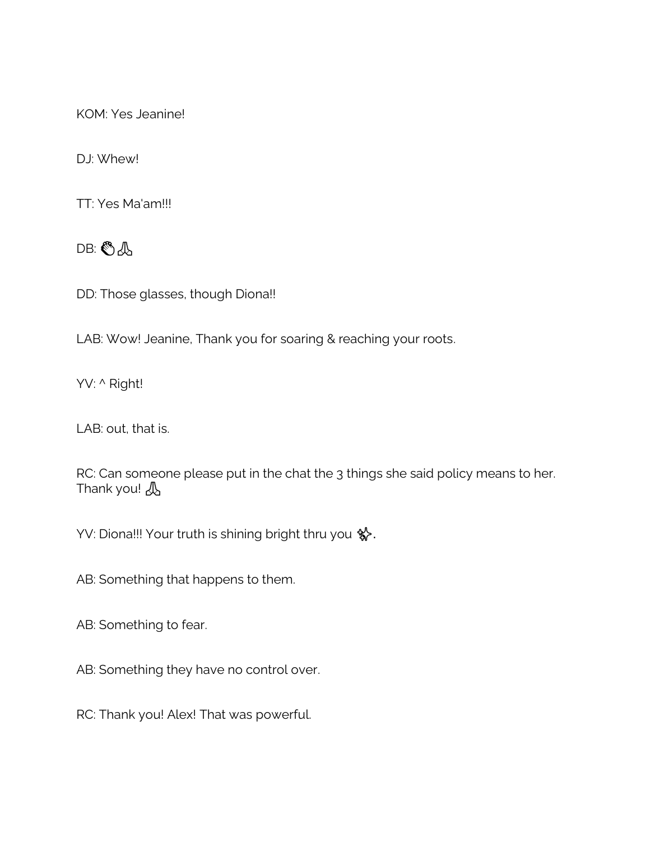KOM: Yes Jeanine!

DJ: Whew!

TT: Yes Ma'am!!!

DB: *人* 

DD: Those glasses, though Diona!!

LAB: Wow! Jeanine, Thank you for soaring & reaching your roots.

YV: ^ Right!

LAB: out, that is.

RC: Can someone please put in the chat the 3 things she said policy means to her. Thank you! A

YV: Diona!!! Your truth is shining bright thru you \$.

AB: Something that happens to them.

AB: Something to fear.

AB: Something they have no control over.

RC: Thank you! Alex! That was powerful.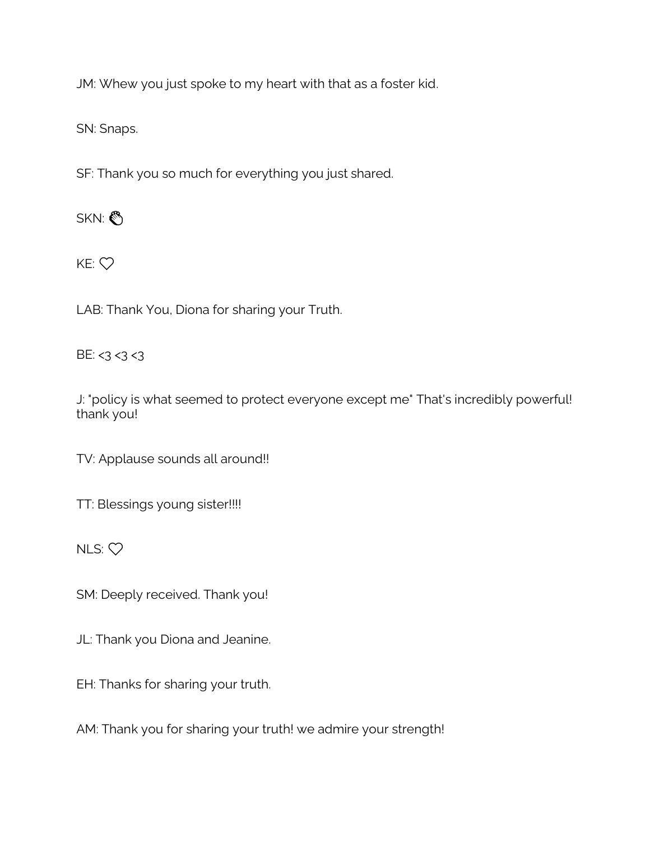JM: Whew you just spoke to my heart with that as a foster kid.

SN: Snaps.

SF: Thank you so much for everything you just shared.

SKN:

 $KE:$   $\heartsuit$ 

LAB: Thank You, Diona for sharing your Truth.

BE:  $<$ 3  $<$ 3  $<$ 3

J: "policy is what seemed to protect everyone except me" That's incredibly powerful! thank you!

TV: Applause sounds all around!!

TT: Blessings young sister!!!!

NLS: ❤️

SM: Deeply received. Thank you!

JL: Thank you Diona and Jeanine.

EH: Thanks for sharing your truth.

AM: Thank you for sharing your truth! we admire your strength!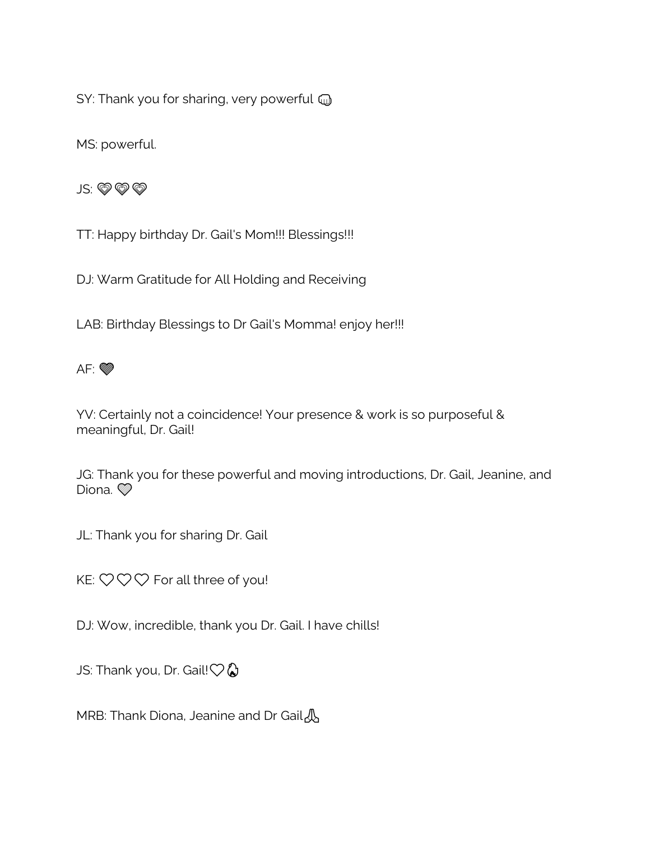SY: Thank you for sharing, very powerful  $\textcircled{u}$ 

MS: powerful.

JS: V

TT: Happy birthday Dr. Gail's Mom!!! Blessings!!!

DJ: Warm Gratitude for All Holding and Receiving

LAB: Birthday Blessings to Dr Gail's Momma! enjoy her!!!



YV: Certainly not a coincidence! Your presence & work is so purposeful & meaningful, Dr. Gail!

JG: Thank you for these powerful and moving introductions, Dr. Gail, Jeanine, and Diona.

JL: Thank you for sharing Dr. Gail

KE:  $\heartsuit \heartsuit \heartsuit$  For all three of you!

DJ: Wow, incredible, thank you Dr. Gail. I have chills!

JS: Thank you, Dr. Gail! $\heartsuit Q$ 

MRB: Thank Diona, Jeanine and Dr Gail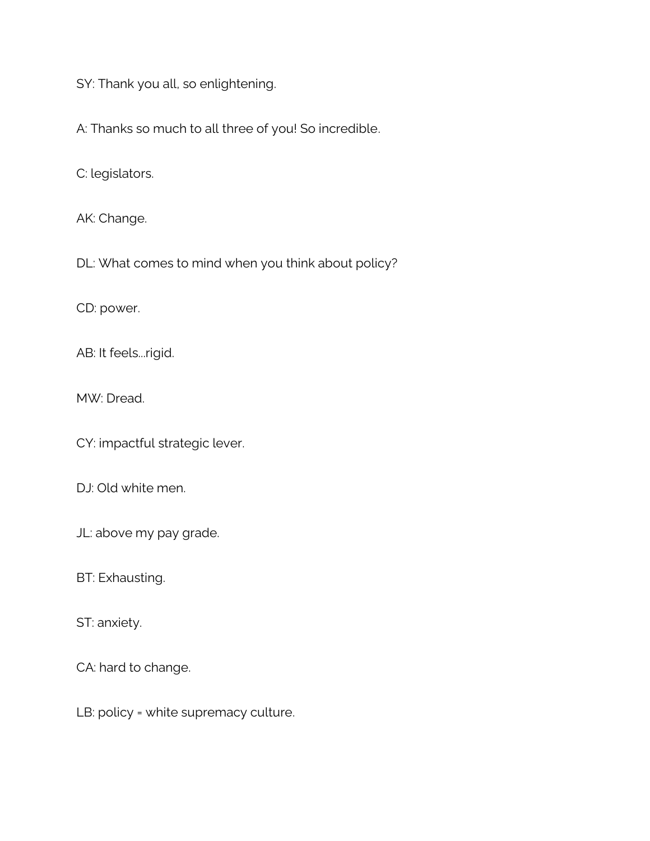SY: Thank you all, so enlightening.

A: Thanks so much to all three of you! So incredible.

C: legislators.

AK: Change.

DL: What comes to mind when you think about policy?

CD: power.

AB: It feels...rigid.

MW: Dread.

CY: impactful strategic lever.

DJ: Old white men.

JL: above my pay grade.

BT: Exhausting.

ST: anxiety.

CA: hard to change.

LB: policy = white supremacy culture.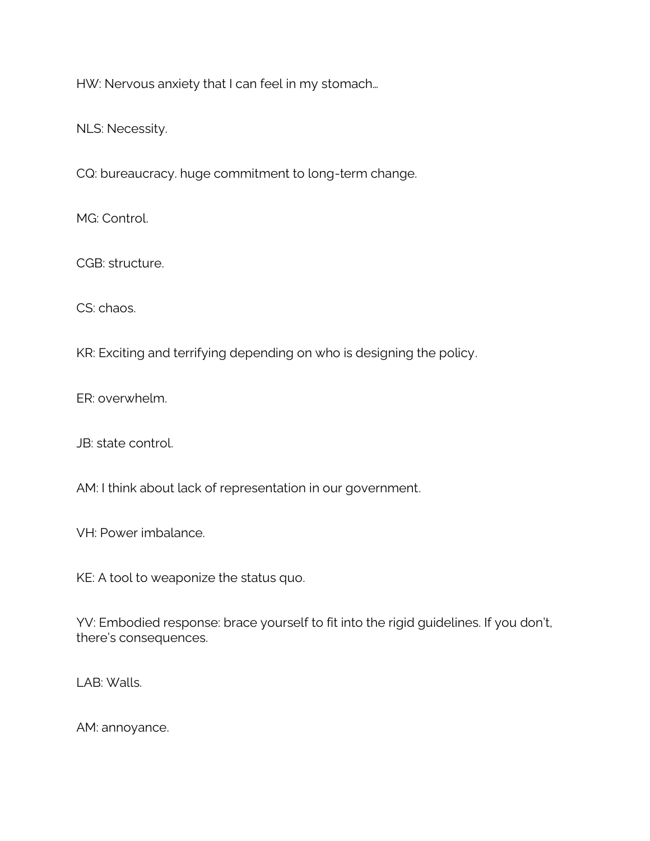HW: Nervous anxiety that I can feel in my stomach…

NLS: Necessity.

CQ: bureaucracy. huge commitment to long-term change.

MG: Control.

CGB: structure.

CS: chaos.

KR: Exciting and terrifying depending on who is designing the policy.

ER: overwhelm.

JB: state control.

AM: I think about lack of representation in our government.

VH: Power imbalance.

KE: A tool to weaponize the status quo.

YV: Embodied response: brace yourself to fit into the rigid guidelines. If you don't, there's consequences.

LAB: Walls.

AM: annoyance.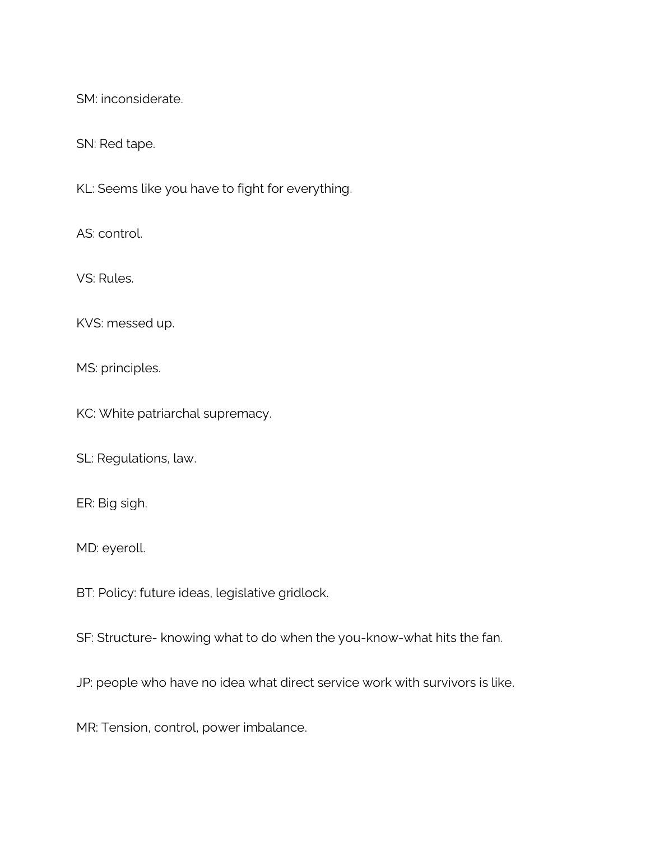SM: inconsiderate.

SN: Red tape.

KL: Seems like you have to fight for everything.

AS: control.

VS: Rules.

KVS: messed up.

MS: principles.

KC: White patriarchal supremacy.

SL: Regulations, law.

ER: Big sigh.

MD: eyeroll.

BT: Policy: future ideas, legislative gridlock.

SF: Structure- knowing what to do when the you-know-what hits the fan.

JP: people who have no idea what direct service work with survivors is like.

MR: Tension, control, power imbalance.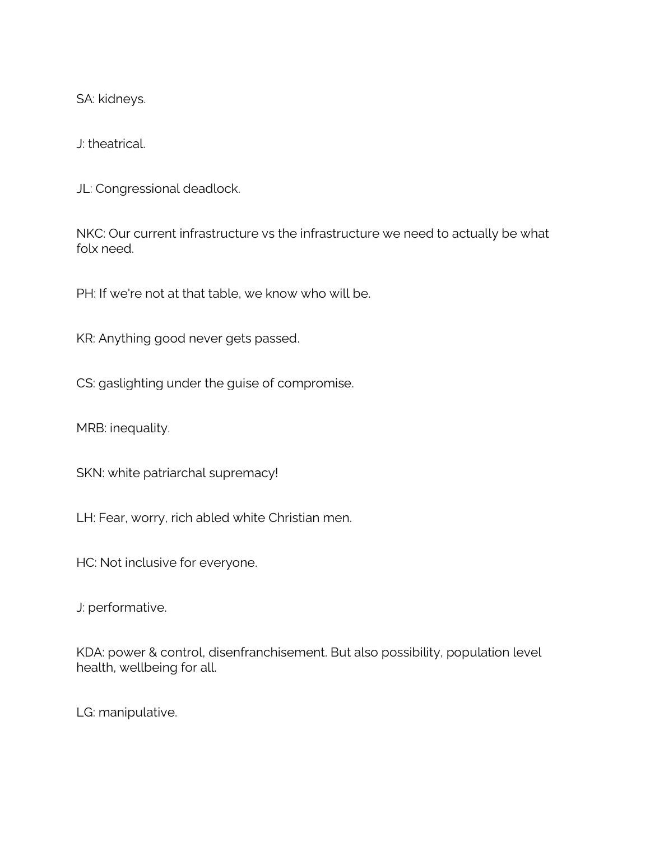SA: kidneys.

J: theatrical.

JL: Congressional deadlock.

NKC: Our current infrastructure vs the infrastructure we need to actually be what folx need.

PH: If we're not at that table, we know who will be.

KR: Anything good never gets passed.

CS: gaslighting under the guise of compromise.

MRB: inequality.

SKN: white patriarchal supremacy!

LH: Fear, worry, rich abled white Christian men.

HC: Not inclusive for everyone.

J: performative.

KDA: power & control, disenfranchisement. But also possibility, population level health, wellbeing for all.

LG: manipulative.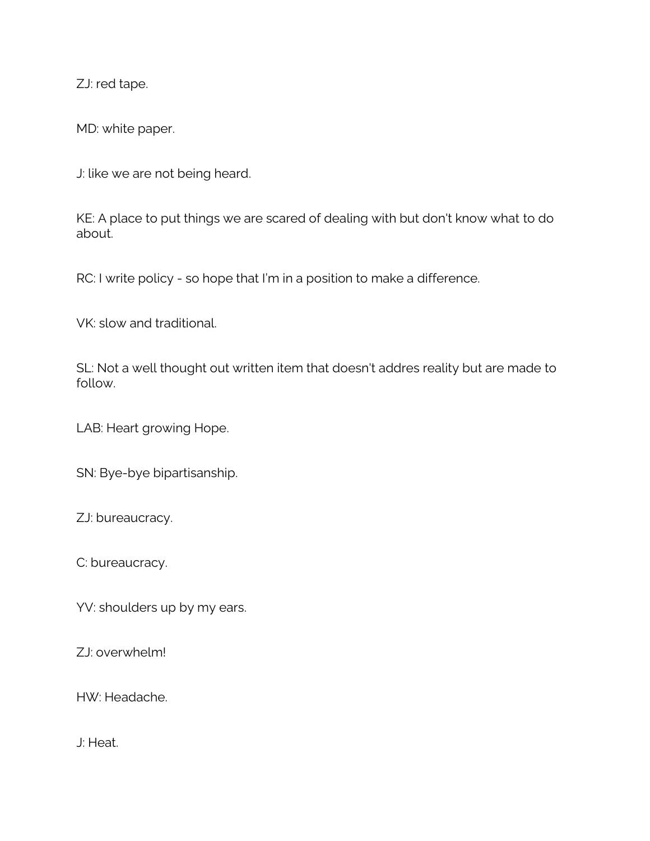ZJ: red tape.

MD: white paper.

J: like we are not being heard.

KE: A place to put things we are scared of dealing with but don't know what to do about.

RC: I write policy - so hope that I'm in a position to make a difference.

VK: slow and traditional.

SL: Not a well thought out written item that doesn't addres reality but are made to follow.

LAB: Heart growing Hope.

SN: Bye-bye bipartisanship.

ZJ: bureaucracy.

C: bureaucracy.

YV: shoulders up by my ears.

ZJ: overwhelm!

HW: Headache.

J: Heat.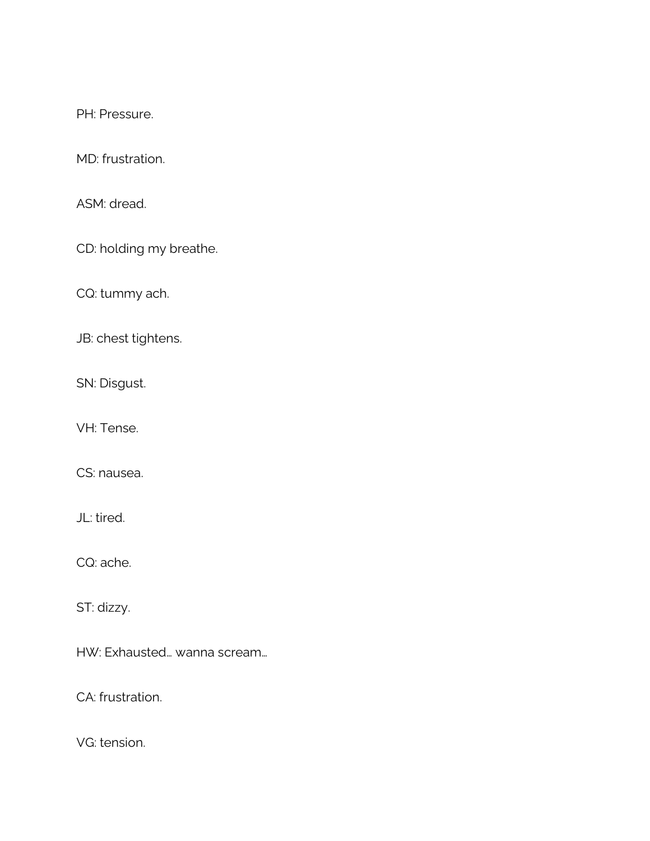PH: Pressure.

MD: frustration.

ASM: dread.

CD: holding my breathe.

CQ: tummy ach.

JB: chest tightens.

SN: Disgust.

VH: Tense.

CS: nausea.

JL: tired.

CQ: ache.

ST: dizzy.

HW: Exhausted… wanna scream…

CA: frustration.

VG: tension.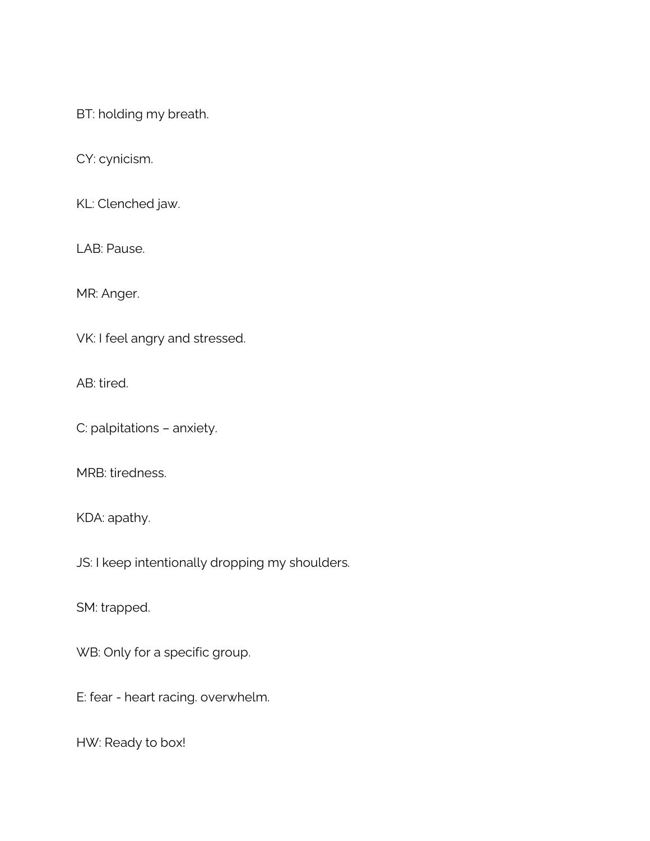BT: holding my breath.

CY: cynicism.

KL: Clenched jaw.

LAB: Pause.

MR: Anger.

VK: I feel angry and stressed.

AB: tired.

C: palpitations – anxiety.

MRB: tiredness.

KDA: apathy.

JS: I keep intentionally dropping my shoulders.

SM: trapped.

WB: Only for a specific group.

E: fear - heart racing. overwhelm.

HW: Ready to box!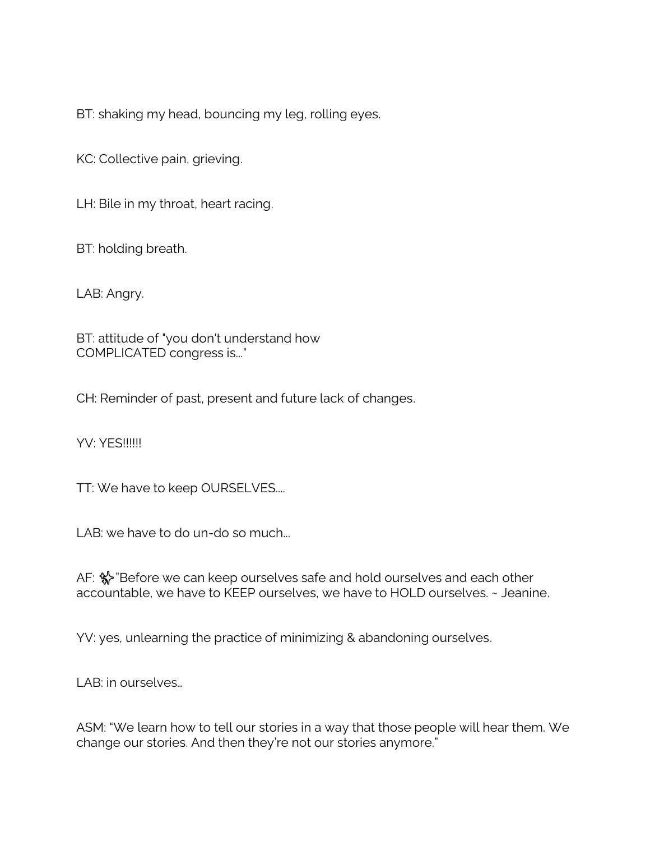BT: shaking my head, bouncing my leg, rolling eyes.

KC: Collective pain, grieving.

LH: Bile in my throat, heart racing.

BT: holding breath.

LAB: Angry.

BT: attitude of "you don't understand how COMPLICATED congress is..."

CH: Reminder of past, present and future lack of changes.

YV: YFS!!!!!!

TT: We have to keep OURSELVES....

LAB: we have to do un-do so much...

AF: % "Before we can keep ourselves safe and hold ourselves and each other accountable, we have to KEEP ourselves, we have to HOLD ourselves. ~ Jeanine.

YV: yes, unlearning the practice of minimizing & abandoning ourselves.

LAB: in ourselves…

ASM: "We learn how to tell our stories in a way that those people will hear them. We change our stories. And then they're not our stories anymore."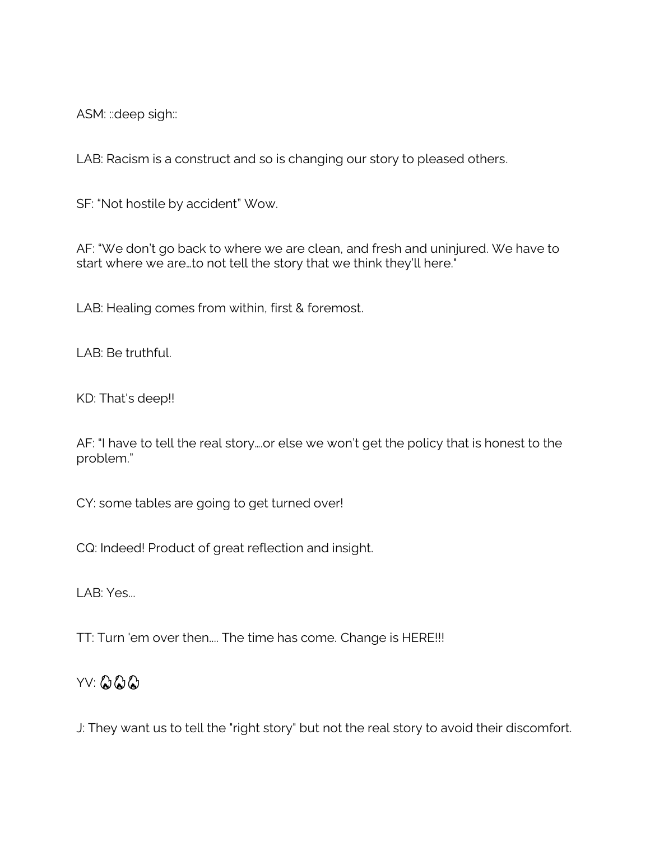ASM: :: deep sigh::

LAB: Racism is a construct and so is changing our story to pleased others.

SF: "Not hostile by accident" Wow.

AF: "We don't go back to where we are clean, and fresh and uninjured. We have to start where we are…to not tell the story that we think they'll here."

LAB: Healing comes from within, first & foremost.

LAB: Be truthful.

KD: That's deep!!

AF: "I have to tell the real story….or else we won't get the policy that is honest to the problem."

CY: some tables are going to get turned over!

CQ: Indeed! Product of great reflection and insight.

LAB: Yes...

TT: Turn 'em over then.... The time has come. Change is HERE!!!

## YV: 222

J: They want us to tell the "right story" but not the real story to avoid their discomfort.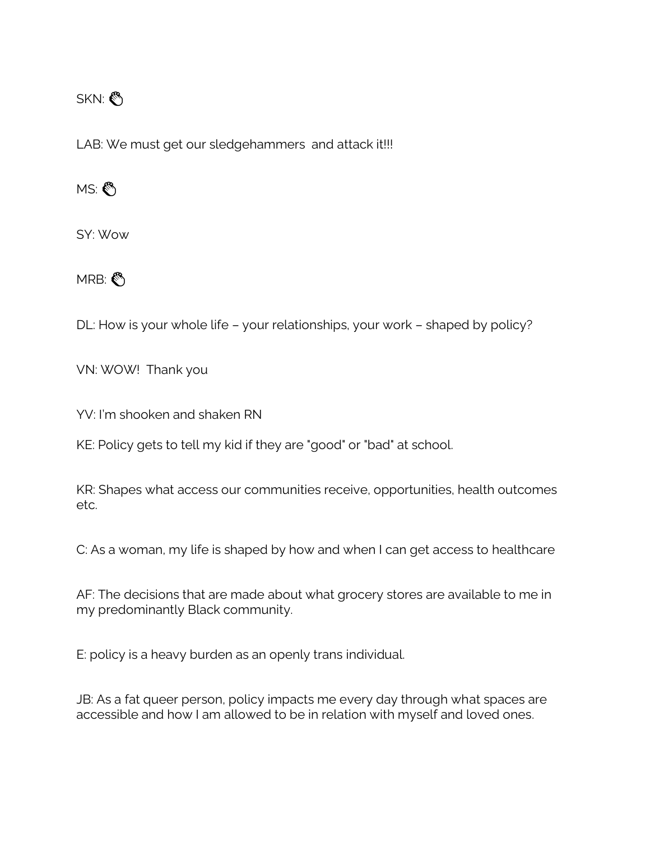#### SKN:

LAB: We must get our sledgehammers and attack it!!!

MS:

SY: Wow

MRB:

DL: How is your whole life – your relationships, your work – shaped by policy?

VN: WOW! Thank you

YV: I'm shooken and shaken RN

KE: Policy gets to tell my kid if they are "good" or "bad" at school.

KR: Shapes what access our communities receive, opportunities, health outcomes etc.

C: As a woman, my life is shaped by how and when I can get access to healthcare

AF: The decisions that are made about what grocery stores are available to me in my predominantly Black community.

E: policy is a heavy burden as an openly trans individual.

JB: As a fat queer person, policy impacts me every day through what spaces are accessible and how I am allowed to be in relation with myself and loved ones.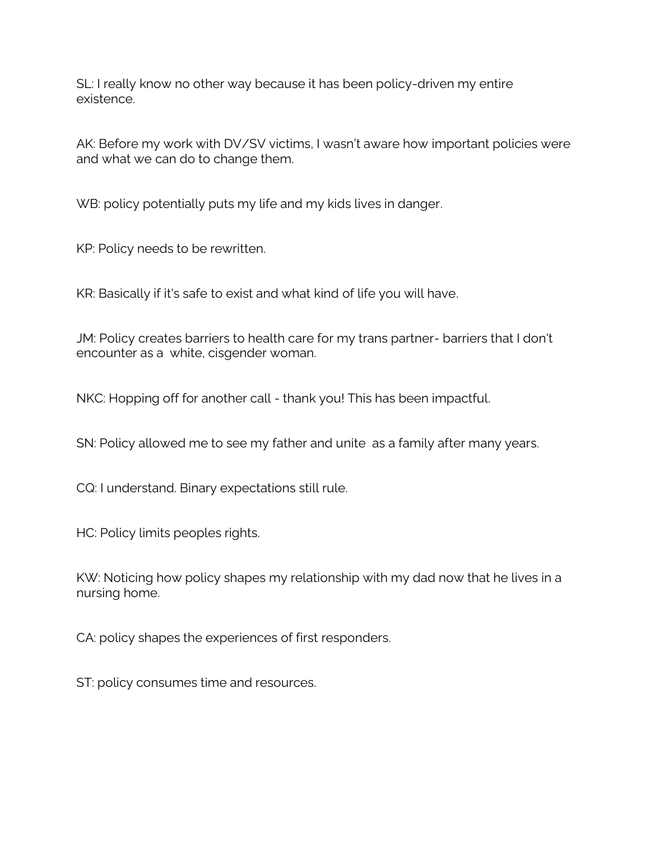SL: I really know no other way because it has been policy-driven my entire existence.

AK: Before my work with DV/SV victims, I wasn't aware how important policies were and what we can do to change them.

WB: policy potentially puts my life and my kids lives in danger.

KP: Policy needs to be rewritten.

KR: Basically if it's safe to exist and what kind of life you will have.

JM: Policy creates barriers to health care for my trans partner- barriers that I don't encounter as a white, cisgender woman.

NKC: Hopping off for another call - thank you! This has been impactful.

SN: Policy allowed me to see my father and unite as a family after many years.

CQ: I understand. Binary expectations still rule.

HC: Policy limits peoples rights.

KW: Noticing how policy shapes my relationship with my dad now that he lives in a nursing home.

CA: policy shapes the experiences of first responders.

ST: policy consumes time and resources.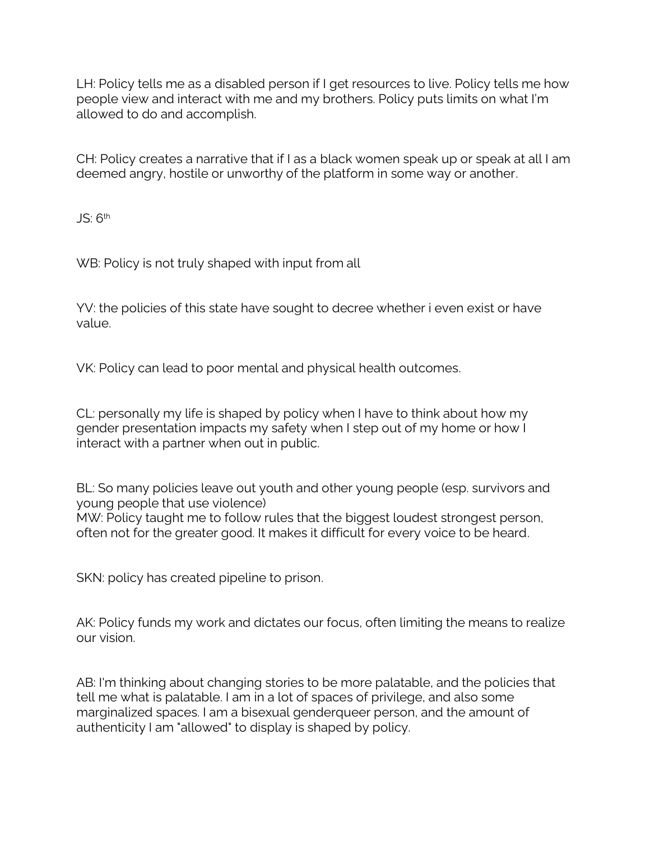LH: Policy tells me as a disabled person if I get resources to live. Policy tells me how people view and interact with me and my brothers. Policy puts limits on what I'm allowed to do and accomplish.

CH: Policy creates a narrative that if I as a black women speak up or speak at all I am deemed angry, hostile or unworthy of the platform in some way or another.

JS: 6<sup>th</sup>

WB: Policy is not truly shaped with input from all

YV: the policies of this state have sought to decree whether i even exist or have value.

VK: Policy can lead to poor mental and physical health outcomes.

CL: personally my life is shaped by policy when I have to think about how my gender presentation impacts my safety when I step out of my home or how I interact with a partner when out in public.

BL: So many policies leave out youth and other young people (esp. survivors and young people that use violence) MW: Policy taught me to follow rules that the biggest loudest strongest person, often not for the greater good. It makes it difficult for every voice to be heard.

SKN: policy has created pipeline to prison.

AK: Policy funds my work and dictates our focus, often limiting the means to realize our vision.

AB: I'm thinking about changing stories to be more palatable, and the policies that tell me what is palatable. I am in a lot of spaces of privilege, and also some marginalized spaces. I am a bisexual genderqueer person, and the amount of authenticity I am "allowed" to display is shaped by policy.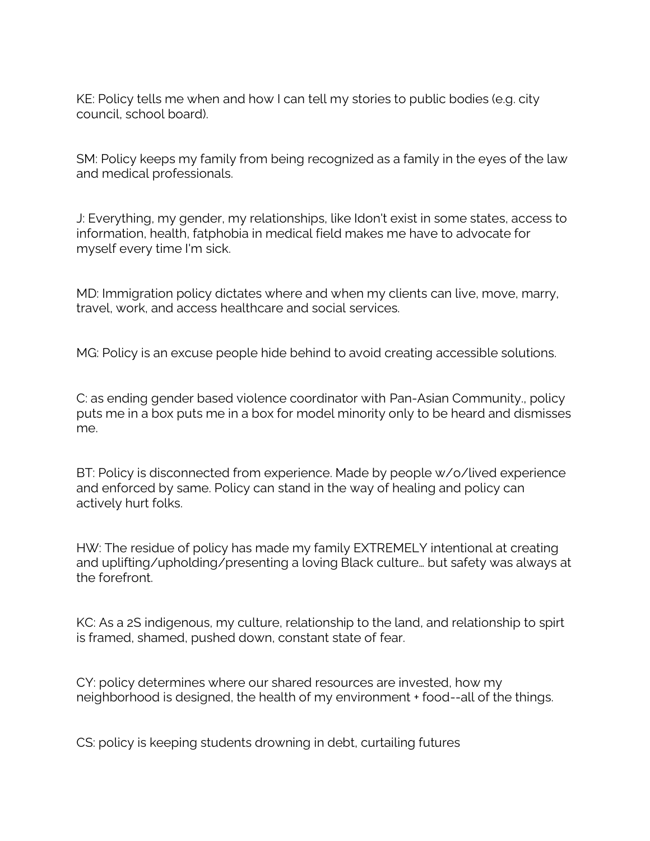KE: Policy tells me when and how I can tell my stories to public bodies (e.g. city council, school board).

SM: Policy keeps my family from being recognized as a family in the eyes of the law and medical professionals.

J: Everything, my gender, my relationships, like Idon't exist in some states, access to information, health, fatphobia in medical field makes me have to advocate for myself every time I'm sick.

MD: Immigration policy dictates where and when my clients can live, move, marry, travel, work, and access healthcare and social services.

MG: Policy is an excuse people hide behind to avoid creating accessible solutions.

C: as ending gender based violence coordinator with Pan-Asian Community., policy puts me in a box puts me in a box for model minority only to be heard and dismisses me.

BT: Policy is disconnected from experience. Made by people w/o/lived experience and enforced by same. Policy can stand in the way of healing and policy can actively hurt folks.

HW: The residue of policy has made my family EXTREMELY intentional at creating and uplifting/upholding/presenting a loving Black culture… but safety was always at the forefront.

KC: As a 2S indigenous, my culture, relationship to the land, and relationship to spirt is framed, shamed, pushed down, constant state of fear.

CY: policy determines where our shared resources are invested, how my neighborhood is designed, the health of my environment + food--all of the things.

CS: policy is keeping students drowning in debt, curtailing futures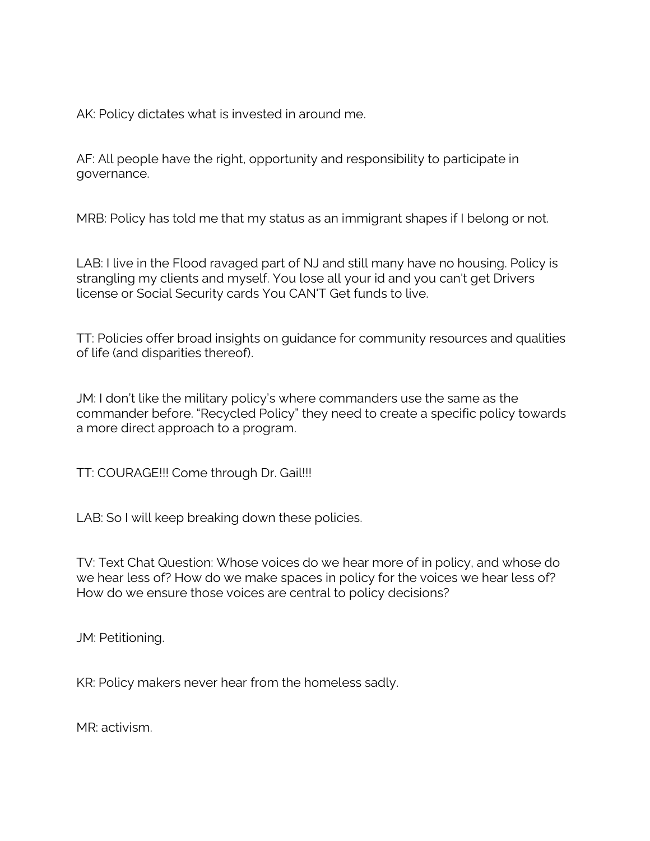AK: Policy dictates what is invested in around me.

AF: All people have the right, opportunity and responsibility to participate in governance.

MRB: Policy has told me that my status as an immigrant shapes if I belong or not.

LAB: I live in the Flood ravaged part of NJ and still many have no housing. Policy is strangling my clients and myself. You lose all your id and you can't get Drivers license or Social Security cards You CAN'T Get funds to live.

TT: Policies offer broad insights on guidance for community resources and qualities of life (and disparities thereof).

JM: I don't like the military policy's where commanders use the same as the commander before. "Recycled Policy" they need to create a specific policy towards a more direct approach to a program.

TT: COURAGE!!! Come through Dr. Gail!!!

LAB: So I will keep breaking down these policies.

TV: Text Chat Question: Whose voices do we hear more of in policy, and whose do we hear less of? How do we make spaces in policy for the voices we hear less of? How do we ensure those voices are central to policy decisions?

JM: Petitioning.

KR: Policy makers never hear from the homeless sadly.

MR: activism.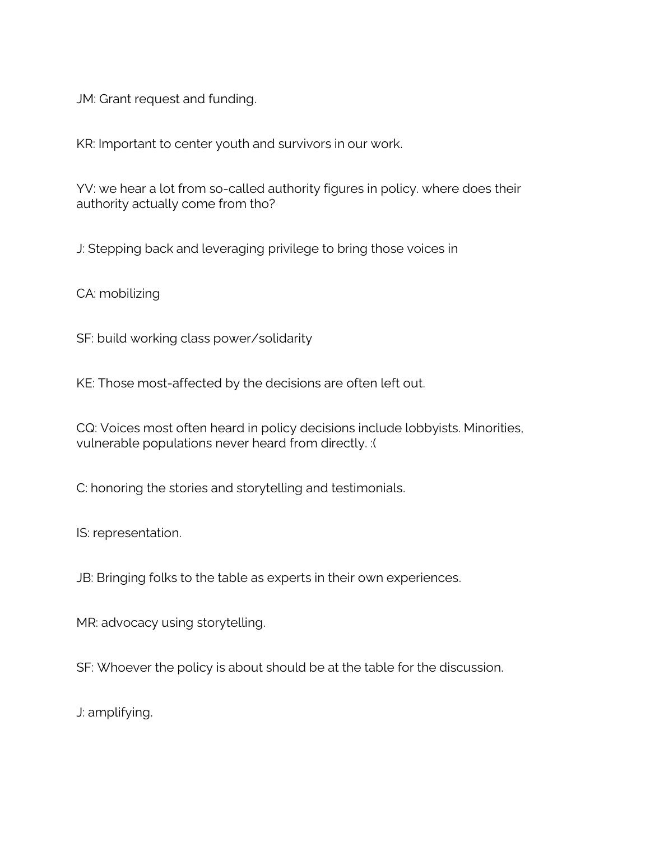JM: Grant request and funding.

KR: Important to center youth and survivors in our work.

YV: we hear a lot from so-called authority figures in policy. where does their authority actually come from tho?

J: Stepping back and leveraging privilege to bring those voices in

CA: mobilizing

SF: build working class power/solidarity

KE: Those most-affected by the decisions are often left out.

CQ: Voices most often heard in policy decisions include lobbyists. Minorities, vulnerable populations never heard from directly. :(

C: honoring the stories and storytelling and testimonials.

IS: representation.

JB: Bringing folks to the table as experts in their own experiences.

MR: advocacy using storytelling.

SF: Whoever the policy is about should be at the table for the discussion.

J: amplifying.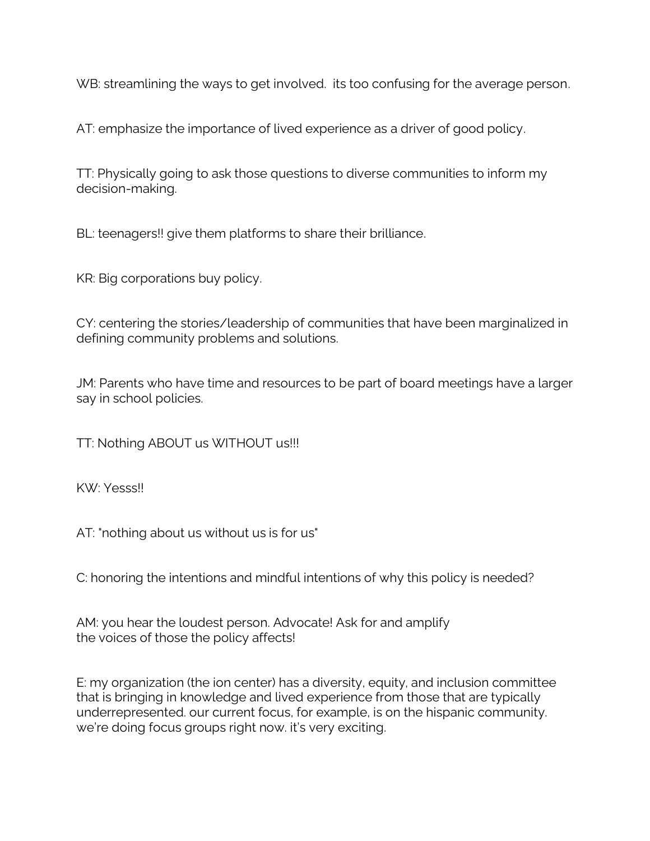WB: streamlining the ways to get involved. its too confusing for the average person.

AT: emphasize the importance of lived experience as a driver of good policy.

TT: Physically going to ask those questions to diverse communities to inform my decision-making.

BL: teenagers!! give them platforms to share their brilliance.

KR: Big corporations buy policy.

CY: centering the stories/leadership of communities that have been marginalized in defining community problems and solutions.

JM: Parents who have time and resources to be part of board meetings have a larger say in school policies.

TT: Nothing ABOUT us WITHOUT us!!!

KW: Yesss!!

AT: "nothing about us without us is for us"

C: honoring the intentions and mindful intentions of why this policy is needed?

AM: you hear the loudest person. Advocate! Ask for and amplify the voices of those the policy affects!

E: my organization (the ion center) has a diversity, equity, and inclusion committee that is bringing in knowledge and lived experience from those that are typically underrepresented. our current focus, for example, is on the hispanic community. we're doing focus groups right now. it's very exciting.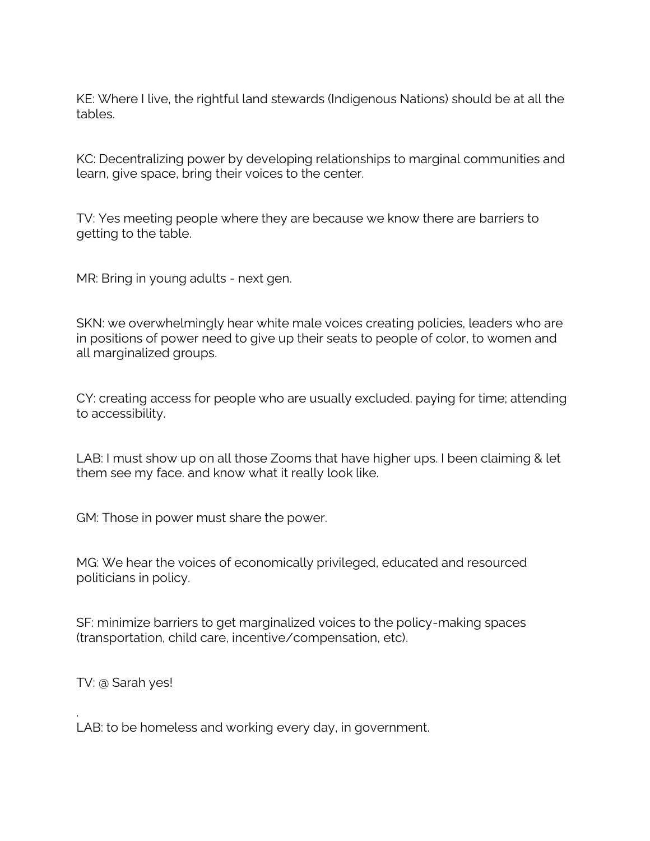KE: Where I live, the rightful land stewards (Indigenous Nations) should be at all the tables.

KC: Decentralizing power by developing relationships to marginal communities and learn, give space, bring their voices to the center.

TV: Yes meeting people where they are because we know there are barriers to getting to the table.

MR: Bring in young adults - next gen.

SKN: we overwhelmingly hear white male voices creating policies, leaders who are in positions of power need to give up their seats to people of color, to women and all marginalized groups.

CY: creating access for people who are usually excluded. paying for time; attending to accessibility.

LAB: I must show up on all those Zooms that have higher ups. I been claiming & let them see my face. and know what it really look like.

GM: Those in power must share the power.

MG: We hear the voices of economically privileged, educated and resourced politicians in policy.

SF: minimize barriers to get marginalized voices to the policy-making spaces (transportation, child care, incentive/compensation, etc).

TV: @ Sarah yes!

.

LAB: to be homeless and working every day, in government.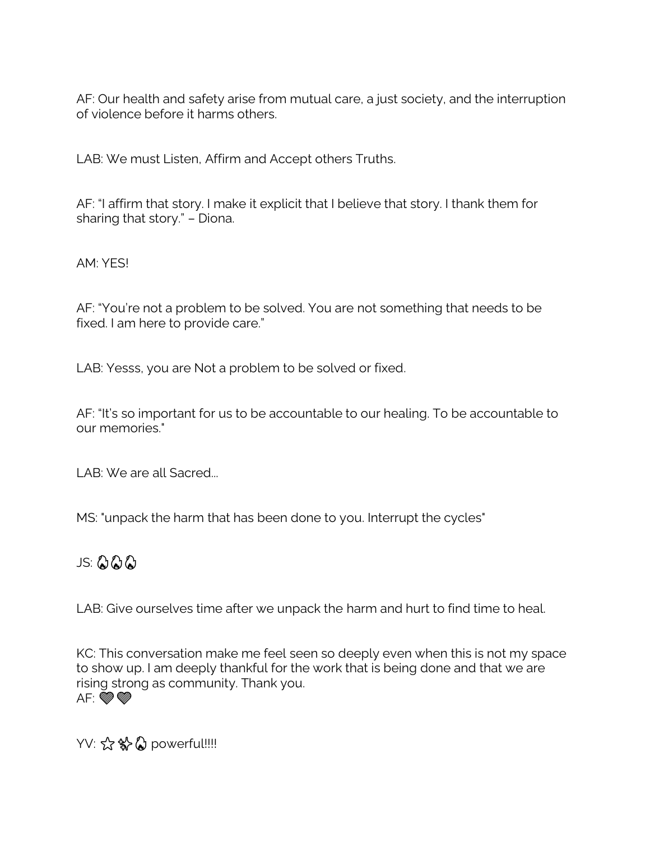AF: Our health and safety arise from mutual care, a just society, and the interruption of violence before it harms others.

LAB: We must Listen, Affirm and Accept others Truths.

AF: "I affirm that story. I make it explicit that I believe that story. I thank them for sharing that story." – Diona.

AM: YES!

AF: "You're not a problem to be solved. You are not something that needs to be fixed. I am here to provide care."

LAB: Yesss, you are Not a problem to be solved or fixed.

AF: "It's so important for us to be accountable to our healing. To be accountable to our memories."

LAB: We are all Sacred...

MS: "unpack the harm that has been done to you. Interrupt the cycles"

### JS:

LAB: Give ourselves time after we unpack the harm and hurt to find time to heal.

KC: This conversation make me feel seen so deeply even when this is not my space to show up. I am deeply thankful for the work that is being done and that we are rising strong as community. Thank you.  $AF: \bullet \circledast$ 

YV: ☆ \$ powerful!!!!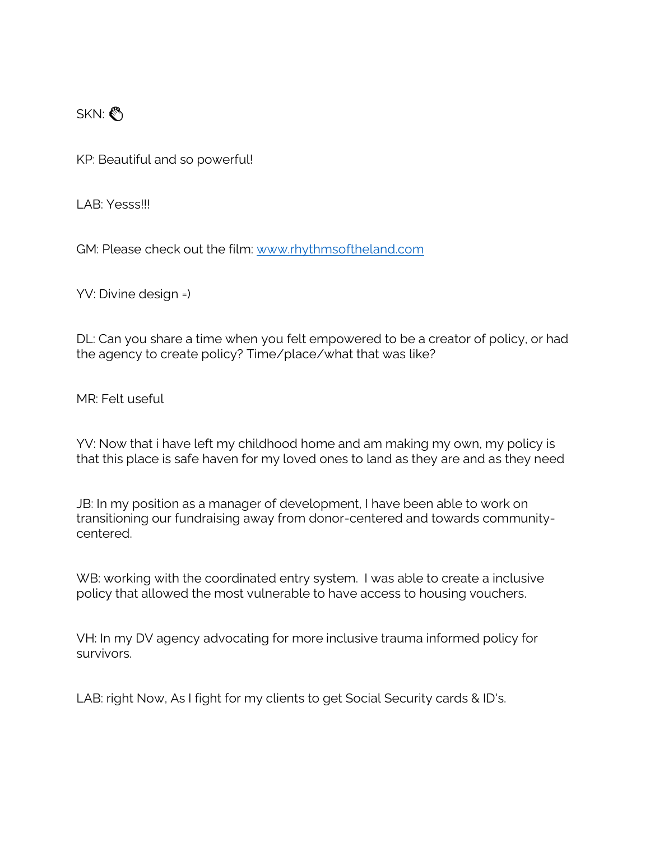SKN:

KP: Beautiful and so powerful!

LAB: Yesss!!!

GM: Please check out the film: [www.rhythmsoftheland.com](http://www.rhythmsoftheland.com/)

YV: Divine design =)

DL: Can you share a time when you felt empowered to be a creator of policy, or had the agency to create policy? Time/place/what that was like?

MR: Felt useful

YV: Now that i have left my childhood home and am making my own, my policy is that this place is safe haven for my loved ones to land as they are and as they need

JB: In my position as a manager of development, I have been able to work on transitioning our fundraising away from donor-centered and towards communitycentered.

WB: working with the coordinated entry system. I was able to create a inclusive policy that allowed the most vulnerable to have access to housing vouchers.

VH: In my DV agency advocating for more inclusive trauma informed policy for survivors.

LAB: right Now, As I fight for my clients to get Social Security cards & ID's.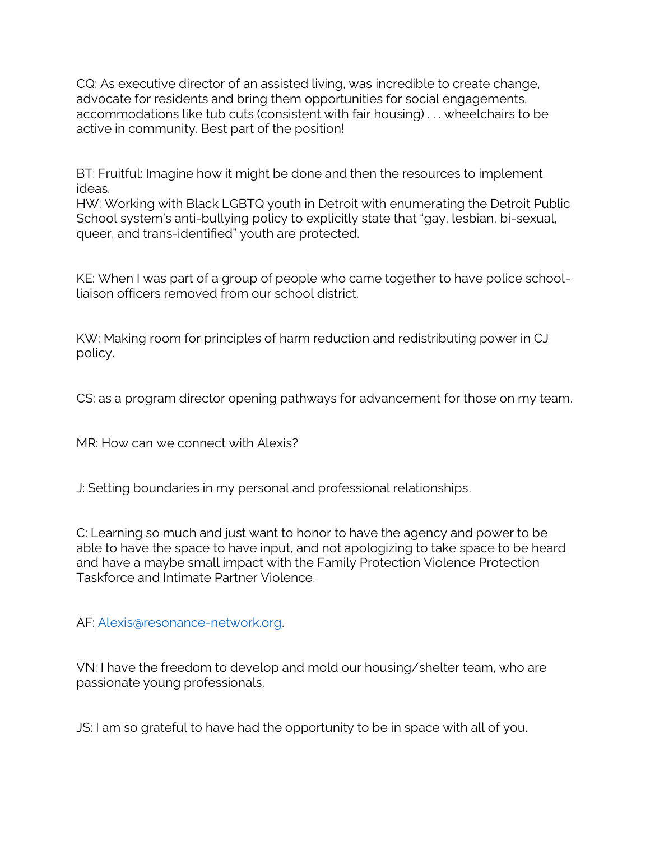CQ: As executive director of an assisted living, was incredible to create change, advocate for residents and bring them opportunities for social engagements, accommodations like tub cuts (consistent with fair housing) . . . wheelchairs to be active in community. Best part of the position!

BT: Fruitful: Imagine how it might be done and then the resources to implement ideas.

HW: Working with Black LGBTQ youth in Detroit with enumerating the Detroit Public School system's anti-bullying policy to explicitly state that "gay, lesbian, bi-sexual, queer, and trans-identified" youth are protected.

KE: When I was part of a group of people who came together to have police schoolliaison officers removed from our school district.

KW: Making room for principles of harm reduction and redistributing power in CJ policy.

CS: as a program director opening pathways for advancement for those on my team.

MR: How can we connect with Alexis?

J: Setting boundaries in my personal and professional relationships.

C: Learning so much and just want to honor to have the agency and power to be able to have the space to have input, and not apologizing to take space to be heard and have a maybe small impact with the Family Protection Violence Protection Taskforce and Intimate Partner Violence.

AF: [Alexis@resonance-network.org.](mailto:Alexis@resonance-network.org)

VN: I have the freedom to develop and mold our housing/shelter team, who are passionate young professionals.

JS: I am so grateful to have had the opportunity to be in space with all of you.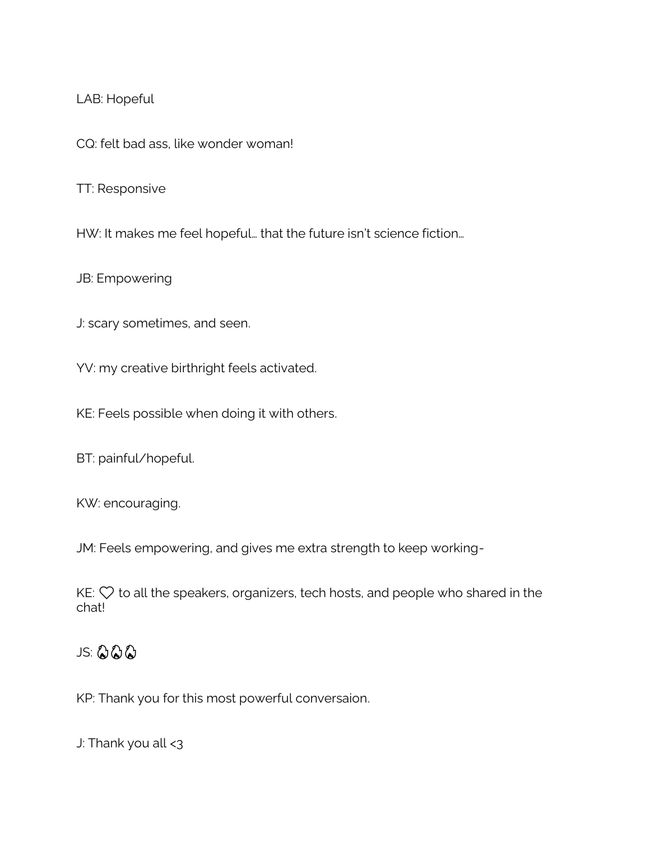LAB: Hopeful

CQ: felt bad ass, like wonder woman!

TT: Responsive

HW: It makes me feel hopeful… that the future isn't science fiction…

JB: Empowering

J: scary sometimes, and seen.

YV: my creative birthright feels activated.

KE: Feels possible when doing it with others.

BT: painful/hopeful.

KW: encouraging.

JM: Feels empowering, and gives me extra strength to keep working-

 $KE: \heartsuit$  to all the speakers, organizers, tech hosts, and people who shared in the chat!

# JS: 222

KP: Thank you for this most powerful conversaion.

J: Thank you all <3